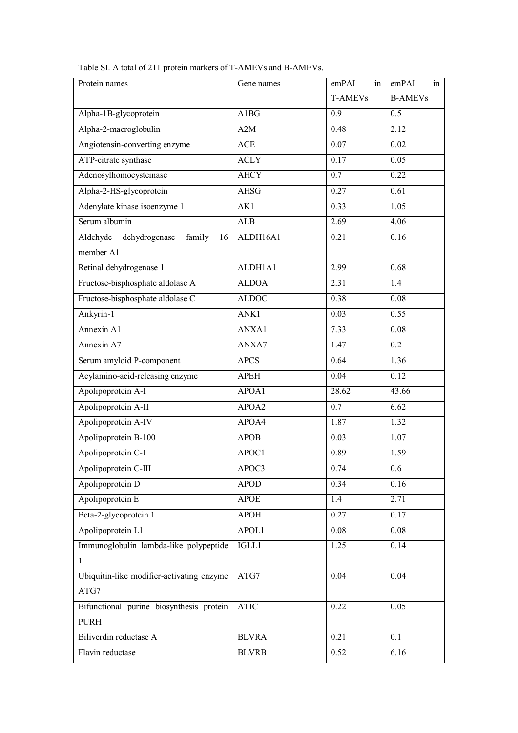| Protein names                             | Gene names   | emPAI<br>in    | emPAI<br>in    |
|-------------------------------------------|--------------|----------------|----------------|
|                                           |              | <b>T-AMEVs</b> | <b>B-AMEVs</b> |
| Alpha-1B-glycoprotein                     | A1BG         | 0.9            | 0.5            |
| Alpha-2-macroglobulin                     | A2M          | 0.48           | 2.12           |
| Angiotensin-converting enzyme             | <b>ACE</b>   | 0.07           | 0.02           |
| ATP-citrate synthase                      | <b>ACLY</b>  | 0.17           | 0.05           |
| Adenosylhomocysteinase                    | <b>AHCY</b>  | 0.7            | 0.22           |
| Alpha-2-HS-glycoprotein                   | <b>AHSG</b>  | 0.27           | 0.61           |
| Adenylate kinase isoenzyme 1              | AK1          | 0.33           | 1.05           |
| Serum albumin                             | ALB          | 2.69           | 4.06           |
| Aldehyde<br>dehydrogenase<br>family<br>16 | ALDH16A1     | 0.21           | 0.16           |
| member A1                                 |              |                |                |
| Retinal dehydrogenase 1                   | ALDH1A1      | 2.99           | 0.68           |
| Fructose-bisphosphate aldolase A          | <b>ALDOA</b> | 2.31           | 1.4            |
| Fructose-bisphosphate aldolase C          | <b>ALDOC</b> | 0.38           | 0.08           |
| Ankyrin-1                                 | ANK1         | 0.03           | 0.55           |
| Annexin A1                                | ANXA1        | 7.33           | 0.08           |
| Annexin A7                                | ANXA7        | 1.47           | 0.2            |
| Serum amyloid P-component                 | <b>APCS</b>  | 0.64           | 1.36           |
| Acylamino-acid-releasing enzyme           | <b>APEH</b>  | 0.04           | 0.12           |
| Apolipoprotein A-I                        | APOA1        | 28.62          | 43.66          |
| Apolipoprotein A-II                       | APOA2        | 0.7            | 6.62           |
| Apolipoprotein A-IV                       | APOA4        | 1.87           | 1.32           |
| Apolipoprotein B-100                      | <b>APOB</b>  | 0.03           | 1.07           |
| Apolipoprotein C-I                        | APOC1        | 0.89           | 1.59           |
| Apolipoprotein C-III                      | APOC3        | 0.74           | 0.6            |
| Apolipoprotein D                          | <b>APOD</b>  | 0.34           | 0.16           |
| Apolipoprotein E                          | <b>APOE</b>  | 1.4            | 2.71           |
| Beta-2-glycoprotein 1                     | <b>APOH</b>  | 0.27           | 0.17           |
| Apolipoprotein L1                         | APOL1        | 0.08           | 0.08           |
| Immunoglobulin lambda-like polypeptide    | IGLL1        | 1.25           | 0.14           |
| $\mathbf{1}$                              |              |                |                |
| Ubiquitin-like modifier-activating enzyme | ATG7         | 0.04           | 0.04           |
| ATG7                                      |              |                |                |
| Bifunctional purine biosynthesis protein  | <b>ATIC</b>  | 0.22           | 0.05           |
| <b>PURH</b>                               |              |                |                |
| Biliverdin reductase A                    | <b>BLVRA</b> | 0.21           | 0.1            |
| Flavin reductase                          | <b>BLVRB</b> | 0.52           | 6.16           |

Table SI. A total of 211 protein markers of T-AMEVs and B-AMEVs.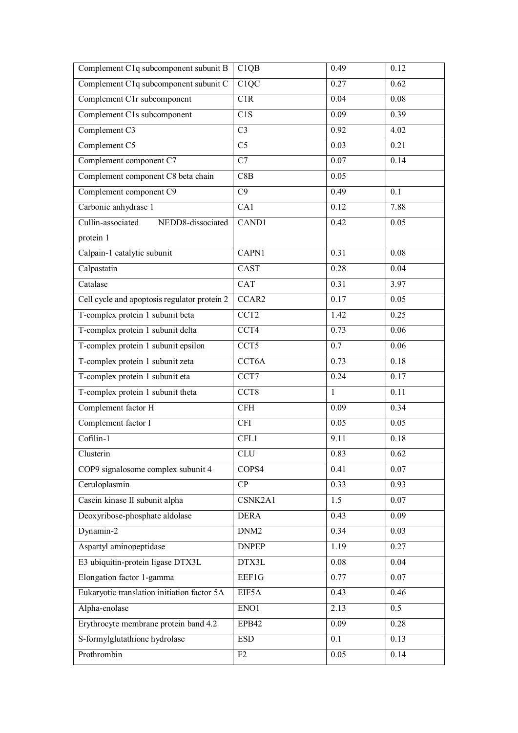| Complement C1q subcomponent subunit B        | C1QB               | 0.49         | 0.12              |
|----------------------------------------------|--------------------|--------------|-------------------|
| Complement C1q subcomponent subunit C        | C1QC               | 0.27         | 0.62              |
| Complement C1r subcomponent                  | C1R                | 0.04         | $\overline{0.08}$ |
| Complement C1s subcomponent                  | C1S                | 0.09         | 0.39              |
| Complement C3                                | $\overline{C}3$    | 0.92         | 4.02              |
| Complement C5                                | C <sub>5</sub>     | 0.03         | 0.21              |
| Complement component C7                      | C7                 | 0.07         | 0.14              |
| Complement component C8 beta chain           | C8B                | 0.05         |                   |
| Complement component C9                      | C9                 | 0.49         | 0.1               |
| Carbonic anhydrase 1                         | CA1                | 0.12         | 7.88              |
| Cullin-associated<br>NEDD8-dissociated       | CAND1              | 0.42         | 0.05              |
| protein 1                                    |                    |              |                   |
| Calpain-1 catalytic subunit                  | CAPN1              | 0.31         | 0.08              |
| Calpastatin                                  | CAST               | 0.28         | 0.04              |
| Catalase                                     | <b>CAT</b>         | 0.31         | 3.97              |
| Cell cycle and apoptosis regulator protein 2 | CCAR2              | 0.17         | 0.05              |
| T-complex protein 1 subunit beta             | CCT <sub>2</sub>   | 1.42         | 0.25              |
| T-complex protein 1 subunit delta            | $\overline{CC}$ T4 | 0.73         | 0.06              |
| T-complex protein 1 subunit epsilon          | CCT <sub>5</sub>   | 0.7          | 0.06              |
| T-complex protein 1 subunit zeta             | CCT6A              | 0.73         | 0.18              |
| T-complex protein 1 subunit eta              | CCT7               | 0.24         | 0.17              |
| T-complex protein 1 subunit theta            | CCT <sub>8</sub>   | $\mathbf{1}$ | 0.11              |
| Complement factor H                          | CFH                | 0.09         | 0.34              |
| Complement factor I                          | <b>CFI</b>         | 0.05         | 0.05              |
| Cofilin-1                                    | CFL1               | 9.11         | 0.18              |
| Clusterin                                    | <b>CLU</b>         | 0.83         | 0.62              |
| COP9 signalosome complex subunit 4           | COPS4              | 0.41         | 0.07              |
| Ceruloplasmin                                | CP                 | 0.33         | 0.93              |
| Casein kinase II subunit alpha               | CSNK2A1            | 1.5          | 0.07              |
| Deoxyribose-phosphate aldolase               | <b>DERA</b>        | 0.43         | 0.09              |
| Dynamin-2                                    | DNM <sub>2</sub>   | 0.34         | 0.03              |
| Aspartyl aminopeptidase                      | <b>DNPEP</b>       | 1.19         | 0.27              |
| E3 ubiquitin-protein ligase DTX3L            | DTX3L              | 0.08         | 0.04              |
| Elongation factor 1-gamma                    | EEF1G              | 0.77         | 0.07              |
| Eukaryotic translation initiation factor 5A  | EIF5A              | 0.43         | 0.46              |
| Alpha-enolase                                | ENO1               | 2.13         | 0.5               |
| Erythrocyte membrane protein band 4.2        | EPB42              | 0.09         | 0.28              |
| S-formylglutathione hydrolase                | <b>ESD</b>         | 0.1          | 0.13              |
| Prothrombin                                  | F2                 | 0.05         | 0.14              |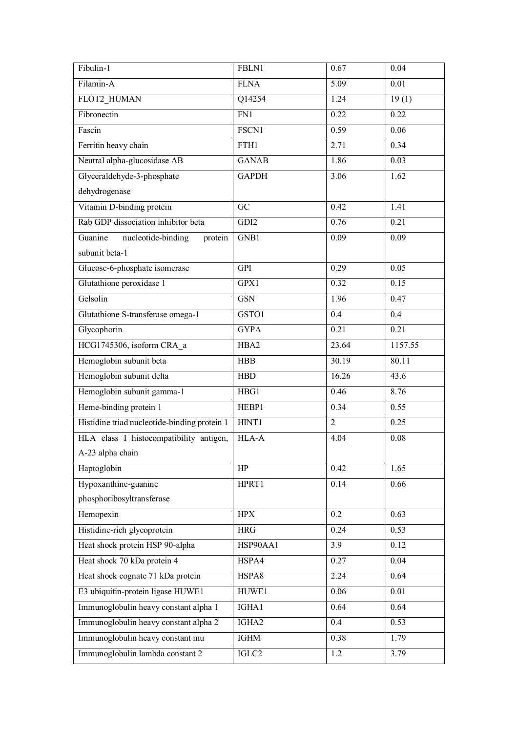| Fibulin-1                                    | FBLN1        | 0.67           | 0.04    |
|----------------------------------------------|--------------|----------------|---------|
| Filamin-A                                    | <b>FLNA</b>  | 5.09           | 0.01    |
| FLOT2_HUMAN                                  | Q14254       | 1.24           | 19(1)   |
| Fibronectin                                  | FN1          | 0.22           | 0.22    |
| Fascin                                       | FSCN1        | 0.59           | 0.06    |
| Ferritin heavy chain                         | FTH1         | 2.71           | 0.34    |
| Neutral alpha-glucosidase AB                 | <b>GANAB</b> | 1.86           | 0.03    |
| Glyceraldehyde-3-phosphate                   | <b>GAPDH</b> | 3.06           | 1.62    |
| dehydrogenase                                |              |                |         |
| Vitamin D-binding protein                    | GC           | 0.42           | 1.41    |
| Rab GDP dissociation inhibitor beta          | GDI2         | 0.76           | 0.21    |
| nucleotide-binding<br>Guanine<br>protein     | GNB1         | 0.09           | 0.09    |
| subunit beta-1                               |              |                |         |
| Glucose-6-phosphate isomerase                | <b>GPI</b>   | 0.29           | 0.05    |
| Glutathione peroxidase 1                     | GPX1         | 0.32           | 0.15    |
| Gelsolin                                     | <b>GSN</b>   | 1.96           | 0.47    |
| Glutathione S-transferase omega-1            | GSTO1        | 0.4            | 0.4     |
| Glycophorin                                  | <b>GYPA</b>  | 0.21           | 0.21    |
| HCG1745306, isoform CRA a                    | HBA2         | 23.64          | 1157.55 |
| Hemoglobin subunit beta                      | <b>HBB</b>   | 30.19          | 80.11   |
| Hemoglobin subunit delta                     | ${\rm HBD}$  | 16.26          | 43.6    |
| Hemoglobin subunit gamma-1                   | HBG1         | 0.46           | 8.76    |
| Heme-binding protein 1                       | HEBP1        | 0.34           | 0.55    |
| Histidine triad nucleotide-binding protein 1 | HINT1        | $\overline{2}$ | 0.25    |
| HLA class I histocompatibility antigen,      | HLA-A        | 4.04           | 0.08    |
| A-23 alpha chain                             |              |                |         |
| Haptoglobin                                  | HP           | 0.42           | 1.65    |
| Hypoxanthine-guanine                         | HPRT1        | 0.14           | 0.66    |
| phosphoribosyltransferase                    |              |                |         |
| Hemopexin                                    | HPX          | 0.2            | 0.63    |
| Histidine-rich glycoprotein                  | <b>HRG</b>   | 0.24           | 0.53    |
| Heat shock protein HSP 90-alpha              | HSP90AA1     | 3.9            | 0.12    |
| Heat shock 70 kDa protein 4                  | HSPA4        | 0.27           | 0.04    |
| Heat shock cognate 71 kDa protein            | HSPA8        | 2.24           | 0.64    |
| E3 ubiquitin-protein ligase HUWE1            | HUWE1        | 0.06           | 0.01    |
| Immunoglobulin heavy constant alpha 1        | IGHA1        | 0.64           | 0.64    |
| Immunoglobulin heavy constant alpha 2        | IGHA2        | 0.4            | 0.53    |
| Immunoglobulin heavy constant mu             | <b>IGHM</b>  | 0.38           | 1.79    |
| Immunoglobulin lambda constant 2             | IGLC2        | 1.2            | 3.79    |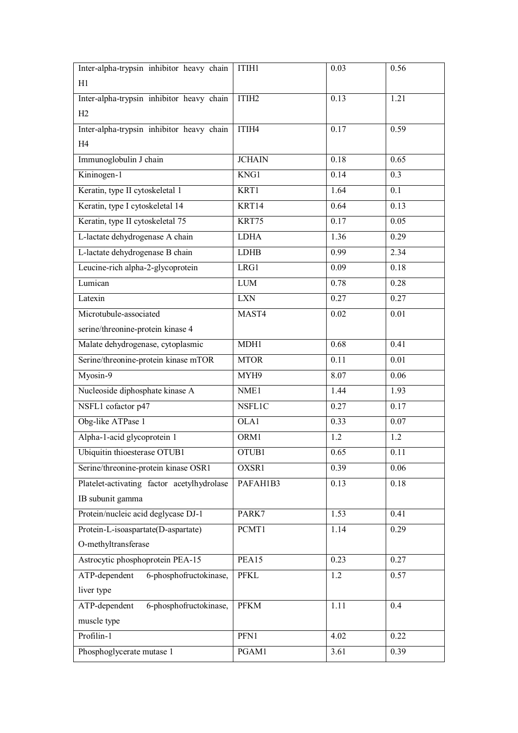| Inter-alpha-trypsin inhibitor heavy chain  | ITIH1             | 0.03              | 0.56 |
|--------------------------------------------|-------------------|-------------------|------|
| H1                                         |                   |                   |      |
| Inter-alpha-trypsin inhibitor heavy chain  | ITIH <sub>2</sub> | 0.13              | 1.21 |
| H2                                         |                   |                   |      |
| Inter-alpha-trypsin inhibitor heavy chain  | ITIH4             | 0.17              | 0.59 |
| H4                                         |                   |                   |      |
| Immunoglobulin J chain                     | <b>JCHAIN</b>     | 0.18              | 0.65 |
| Kininogen-1                                | KNG1              | 0.14              | 0.3  |
| Keratin, type II cytoskeletal 1            | KRT1              | 1.64              | 0.1  |
| Keratin, type I cytoskeletal 14            | KRT14             | 0.64              | 0.13 |
| Keratin, type II cytoskeletal 75           | KRT75             | 0.17              | 0.05 |
| L-lactate dehydrogenase A chain            | <b>LDHA</b>       | 1.36              | 0.29 |
| L-lactate dehydrogenase B chain            | <b>LDHB</b>       | 0.99              | 2.34 |
| Leucine-rich alpha-2-glycoprotein          | LRG1              | 0.09              | 0.18 |
| Lumican                                    | $LUM$             | 0.78              | 0.28 |
| Latexin                                    | <b>LXN</b>        | 0.27              | 0.27 |
| Microtubule-associated                     | MAST4             | 0.02              | 0.01 |
| serine/threonine-protein kinase 4          |                   |                   |      |
| Malate dehydrogenase, cytoplasmic          | MDH1              | 0.68              | 0.41 |
| Serine/threonine-protein kinase mTOR       | <b>MTOR</b>       | 0.11              | 0.01 |
| Myosin-9                                   | MYH9              | $8.\overline{07}$ | 0.06 |
| Nucleoside diphosphate kinase A            | NME1              | 1.44              | 1.93 |
| NSFL1 cofactor p47                         | NSFL1C            | 0.27              | 0.17 |
| Obg-like ATPase 1                          | OLA1              | 0.33              | 0.07 |
| Alpha-1-acid glycoprotein 1                | ORM1              | 1.2               | 1.2  |
| Ubiquitin thioesterase OTUB1               | OTUB1             | 0.65              | 0.11 |
| Serine/threonine-protein kinase OSR1       | OXSR1             | 0.39              | 0.06 |
| Platelet-activating factor acetylhydrolase | PAFAH1B3          | 0.13              | 0.18 |
| IB subunit gamma                           |                   |                   |      |
| Protein/nucleic acid deglycase DJ-1        | PARK7             | 1.53              | 0.41 |
| Protein-L-isoaspartate(D-aspartate)        | PCMT1             | 1.14              | 0.29 |
| O-methyltransferase                        |                   |                   |      |
| Astrocytic phosphoprotein PEA-15           | PEA15             | 0.23              | 0.27 |
| 6-phosphofructokinase,<br>ATP-dependent    | <b>PFKL</b>       | 1.2               | 0.57 |
| liver type                                 |                   |                   |      |
| 6-phosphofructokinase,<br>ATP-dependent    | <b>PFKM</b>       | 1.11              | 0.4  |
| muscle type                                |                   |                   |      |
| Profilin-1                                 | PFN1              | 4.02              | 0.22 |
| Phosphoglycerate mutase 1                  | PGAM1             | 3.61              | 0.39 |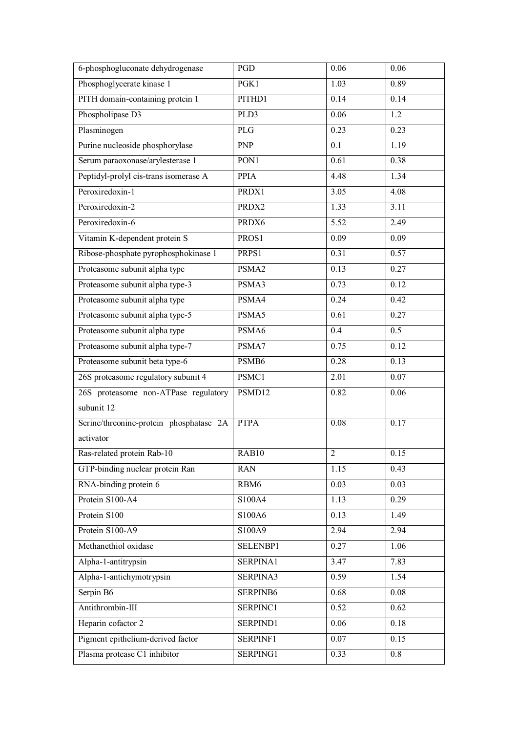| 6-phosphogluconate dehydrogenase        | PGD         | 0.06           | 0.06     |
|-----------------------------------------|-------------|----------------|----------|
| Phosphoglycerate kinase 1               | PGK1        | 1.03           | 0.89     |
| PITH domain-containing protein 1        | PITHD1      | 0.14           | 0.14     |
| Phospholipase D3                        | PLD3        | 0.06           | 1.2      |
| Plasminogen                             | <b>PLG</b>  | 0.23           | 0.23     |
| Purine nucleoside phosphorylase         | <b>PNP</b>  | 0.1            | 1.19     |
| Serum paraoxonase/arylesterase 1        | PON1        | 0.61           | 0.38     |
| Peptidyl-prolyl cis-trans isomerase A   | <b>PPIA</b> | 4.48           | 1.34     |
| Peroxiredoxin-1                         | PRDX1       | 3.05           | 4.08     |
| Peroxiredoxin-2                         | PRDX2       | 1.33           | 3.11     |
| Peroxiredoxin-6                         | PRDX6       | 5.52           | 2.49     |
| Vitamin K-dependent protein S           | PROS1       | 0.09           | 0.09     |
| Ribose-phosphate pyrophosphokinase 1    | PRPS1       | 0.31           | 0.57     |
| Proteasome subunit alpha type           | PSMA2       | 0.13           | 0.27     |
| Proteasome subunit alpha type-3         | PSMA3       | 0.73           | 0.12     |
| Proteasome subunit alpha type           | PSMA4       | 0.24           | 0.42     |
| Proteasome subunit alpha type-5         | PSMA5       | 0.61           | 0.27     |
| Proteasome subunit alpha type           | PSMA6       | 0.4            | 0.5      |
| Proteasome subunit alpha type-7         | PSMA7       | 0.75           | 0.12     |
| Proteasome subunit beta type-6          | PSMB6       | 0.28           | 0.13     |
| 26S proteasome regulatory subunit 4     | PSMC1       | 2.01           | 0.07     |
| 26S proteasome non-ATPase regulatory    | PSMD12      | 0.82           | 0.06     |
| subunit 12                              |             |                |          |
| Serine/threonine-protein phosphatase 2A | <b>PTPA</b> | 0.08           | 0.17     |
| activator                               |             |                |          |
| Ras-related protein Rab-10              | RAB10       | $\overline{2}$ | 0.15     |
| GTP-binding nuclear protein Ran         | <b>RAN</b>  | 1.15           | 0.43     |
| RNA-binding protein 6                   | RBM6        | 0.03           | 0.03     |
| Protein S100-A4                         | S100A4      | 1.13           | 0.29     |
| Protein S100                            | S100A6      | 0.13           | 1.49     |
| Protein S100-A9                         | S100A9      | 2.94           | 2.94     |
| Methanethiol oxidase                    | SELENBP1    | 0.27           | 1.06     |
| Alpha-1-antitrypsin                     | SERPINA1    | 3.47           | 7.83     |
| Alpha-1-antichymotrypsin                | SERPINA3    | 0.59           | 1.54     |
| Serpin B6                               | SERPINB6    | 0.68           | $0.08\,$ |
| Antithrombin-III                        | SERPINC1    | 0.52           | 0.62     |
| Heparin cofactor 2                      | SERPIND1    | 0.06           | 0.18     |
| Pigment epithelium-derived factor       | SERPINF1    | 0.07           | 0.15     |
| Plasma protease C1 inhibitor            | SERPING1    | 0.33           | 0.8      |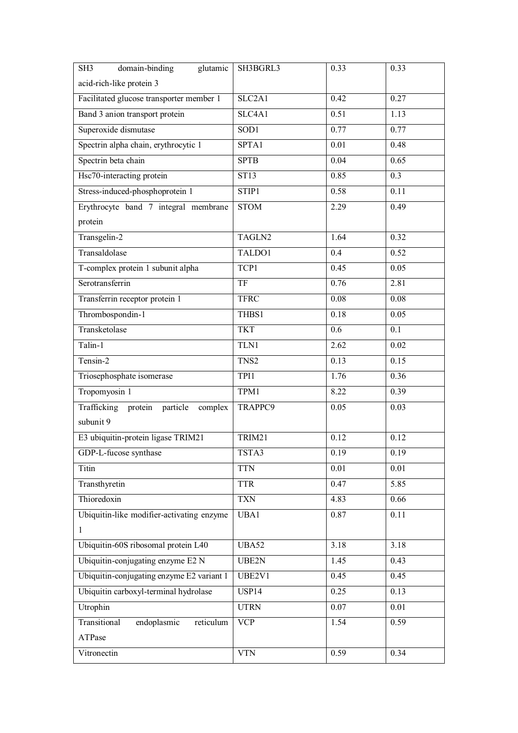| domain-binding<br>glutamic<br>SH <sub>3</sub> | SH3BGRL3           | 0.33              | 0.33 |
|-----------------------------------------------|--------------------|-------------------|------|
| acid-rich-like protein 3                      |                    |                   |      |
| Facilitated glucose transporter member 1      | SLC2A1             | 0.42              | 0.27 |
| Band 3 anion transport protein                | SLC4A1             | 0.51              | 1.13 |
| Superoxide dismutase                          | SOD1               | 0.77              | 0.77 |
| Spectrin alpha chain, erythrocytic 1          | SPTA1              | 0.01              | 0.48 |
| Spectrin beta chain                           | <b>SPTB</b>        | 0.04              | 0.65 |
| Hsc70-interacting protein                     | ST13               | 0.85              | 0.3  |
| Stress-induced-phosphoprotein 1               | STIP1              | 0.58              | 0.11 |
| Erythrocyte band 7 integral membrane          | <b>STOM</b>        | $\overline{2.29}$ | 0.49 |
| protein                                       |                    |                   |      |
| Transgelin-2                                  | TAGLN2             | 1.64              | 0.32 |
| Transaldolase                                 | TALDO1             | 0.4               | 0.52 |
| T-complex protein 1 subunit alpha             | TCP1               | 0.45              | 0.05 |
| Serotransferrin                               | TF                 | 0.76              | 2.81 |
| Transferrin receptor protein 1                | <b>TFRC</b>        | 0.08              | 0.08 |
| Thrombospondin-1                              | THBS1              | 0.18              | 0.05 |
| Transketolase                                 | <b>TKT</b>         | 0.6               | 0.1  |
| Talin-1                                       | TLN1               | 2.62              | 0.02 |
| Tensin-2                                      | TNS2               | 0.13              | 0.15 |
| Triosephosphate isomerase                     | TPI1               | 1.76              | 0.36 |
| Tropomyosin 1                                 | TPM1               | 8.22              | 0.39 |
| Trafficking protein particle complex          | TRAPPC9            | 0.05              | 0.03 |
| subunit 9                                     |                    |                   |      |
| E3 ubiquitin-protein ligase TRIM21            | TRIM21             | 0.12              | 0.12 |
| GDP-L-fucose synthase                         | TSTA3              | 0.19              | 0.19 |
| Titin                                         | <b>TTN</b>         | 0.01              | 0.01 |
| Transthyretin                                 | <b>TTR</b>         | 0.47              | 5.85 |
| Thioredoxin                                   | <b>TXN</b>         | 4.83              | 0.66 |
| Ubiquitin-like modifier-activating enzyme     | UBA1               | 0.87              | 0.11 |
| $\mathbf{1}$                                  |                    |                   |      |
| Ubiquitin-60S ribosomal protein L40           | UBA52              | 3.18              | 3.18 |
| Ubiquitin-conjugating enzyme E2 N             | UBE2N              | 1.45              | 0.43 |
| Ubiquitin-conjugating enzyme E2 variant 1     | UBE <sub>2V1</sub> | 0.45              | 0.45 |
| Ubiquitin carboxyl-terminal hydrolase         | USP14              | 0.25              | 0.13 |
| Utrophin                                      | <b>UTRN</b>        | 0.07              | 0.01 |
| Transitional<br>endoplasmic<br>reticulum      | <b>VCP</b>         | 1.54              | 0.59 |
| ATPase                                        |                    |                   |      |
| Vitronectin                                   | <b>VTN</b>         | 0.59              | 0.34 |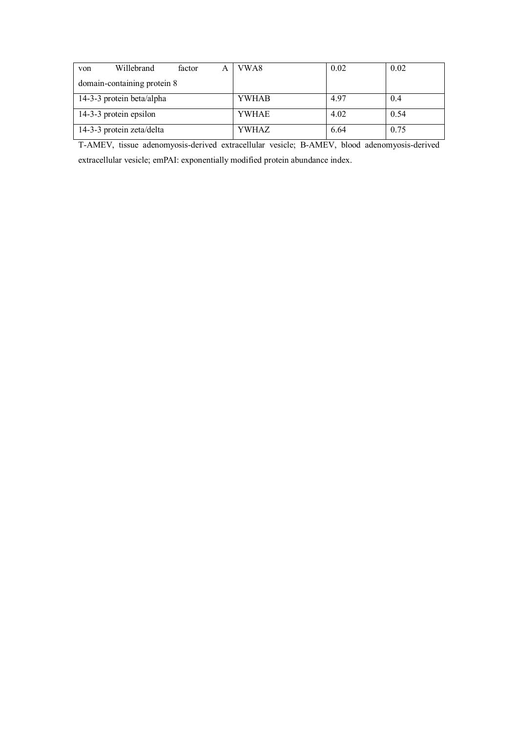| von                         | Willebrand                | factor | А | VWA8         | 0.02 | 0.02 |
|-----------------------------|---------------------------|--------|---|--------------|------|------|
| domain-containing protein 8 |                           |        |   |              |      |      |
|                             | 14-3-3 protein beta/alpha |        |   | <b>YWHAB</b> | 4.97 | -0.4 |
|                             | 14-3-3 protein epsilon    |        |   | YWHAE        | 4.02 | 0.54 |
|                             | 14-3-3 protein zeta/delta |        |   | YWHAZ        | 6.64 | 0.75 |

T-AMEV, tissue adenomyosis-derived extracellular vesicle; B-AMEV, blood adenomyosis-derived extracellular vesicle; emPAI: exponentially modified protein abundance index.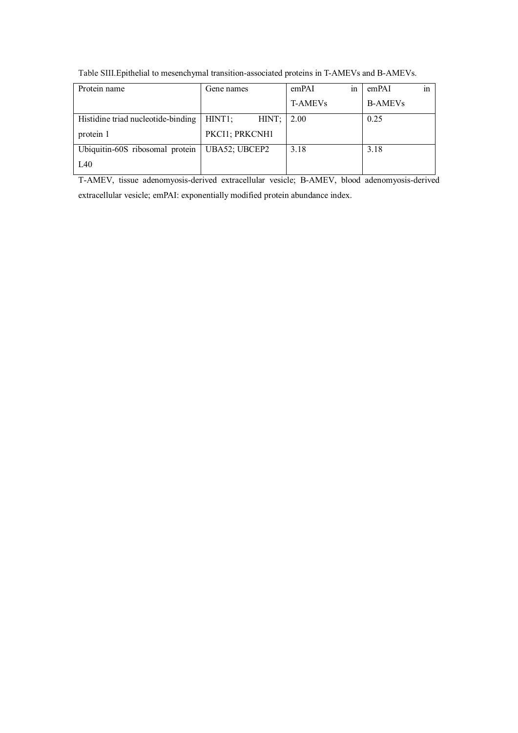| Protein name                       | Gene names                   | $\operatorname{in}$<br>emPAI | emPAI<br>1n    |
|------------------------------------|------------------------------|------------------------------|----------------|
|                                    |                              | <b>T-AMEVs</b>               | <b>B-AMEVs</b> |
| Histidine triad nucleotide-binding | HINT <sub>1</sub> ;<br>HINT; | 2.00                         | 0.25           |
| protein 1                          | PKCI1; PRKCNH1               |                              |                |
| Ubiquitin-60S ribosomal protein    | UBA52; UBCEP2                | 3.18                         | 3.18           |
| L40                                |                              |                              |                |

Table SIII.Epithelial to mesenchymal transition-associated proteins in T-AMEVs and B-AMEVs.

T-AMEV, tissue adenomyosis-derived extracellular vesicle; B-AMEV, blood adenomyosis-derived extracellular vesicle; emPAI: exponentially modified protein abundance index.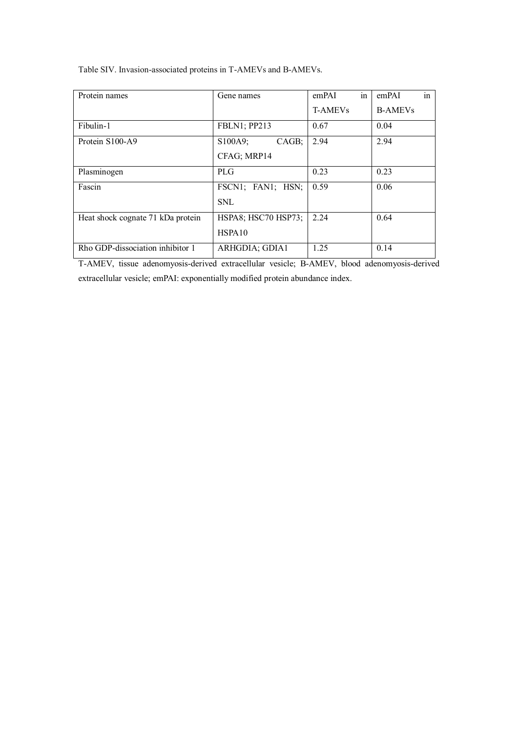| Protein names                     | Gene names           | in<br>emPAI    | $\mathsf{in}$<br>emPAI |
|-----------------------------------|----------------------|----------------|------------------------|
|                                   |                      | <b>T-AMEVs</b> | <b>B-AMEVs</b>         |
| Fibulin-1                         | <b>FBLN1</b> ; PP213 | 0.67           | 0.04                   |
| Protein S100-A9                   | S100A9;<br>CAGB:     | 2.94           | 2.94                   |
|                                   | CFAG; MRP14          |                |                        |
| Plasminogen                       | <b>PLG</b>           | 0.23           | 0.23                   |
| Fascin                            | FSCN1; FAN1; HSN;    | 0.59           | 0.06                   |
|                                   | <b>SNL</b>           |                |                        |
| Heat shock cognate 71 kDa protein | HSPA8; HSC70 HSP73;  | 2.24           | 0.64                   |
|                                   | HSPA10               |                |                        |
| Rho GDP-dissociation inhibitor 1  | ARHGDIA; GDIA1       | 1.25           | 0.14                   |

Table SIV. Invasion-associated proteins in T-AMEVs and B-AMEVs.

T-AMEV, tissue adenomyosis-derived extracellular vesicle; B-AMEV, blood adenomyosis-derived extracellular vesicle; emPAI: exponentially modified protein abundance index.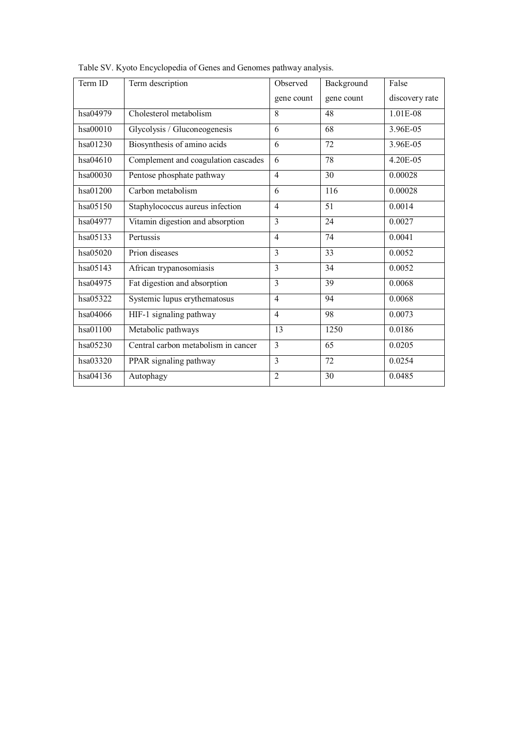| Term ID  | Term description                    | Observed       | Background | False          |
|----------|-------------------------------------|----------------|------------|----------------|
|          |                                     | gene count     | gene count | discovery rate |
| hsa04979 | Cholesterol metabolism              | 8              | 48         | 1.01E-08       |
| hsa00010 | Glycolysis / Gluconeogenesis        | 6              | 68         | 3.96E-05       |
| hsa01230 | Biosynthesis of amino acids         | 6              | 72         | 3.96E-05       |
| hsa04610 | Complement and coagulation cascades | 6              | 78         | 4.20E-05       |
| hsa00030 | Pentose phosphate pathway           | $\overline{4}$ | 30         | 0.00028        |
| hsa01200 | Carbon metabolism                   | 6              | 116        | 0.00028        |
| hsa05150 | Staphylococcus aureus infection     | $\overline{4}$ | 51         | 0.0014         |
| hsa04977 | Vitamin digestion and absorption    | 3              | 24         | 0.0027         |
| hsa05133 | Pertussis                           | $\overline{4}$ | 74         | 0.0041         |
| hsa05020 | Prion diseases                      | 3              | 33         | 0.0052         |
| hsa05143 | African trypanosomiasis             | $\overline{3}$ | 34         | 0.0052         |
| hsa04975 | Fat digestion and absorption        | $\overline{3}$ | 39         | 0.0068         |
| hsa05322 | Systemic lupus erythematosus        | $\overline{4}$ | 94         | 0.0068         |
| hsa04066 | HIF-1 signaling pathway             | $\overline{4}$ | 98         | 0.0073         |
| hsa01100 | Metabolic pathways                  | 13             | 1250       | 0.0186         |
| hsa05230 | Central carbon metabolism in cancer | 3              | 65         | 0.0205         |
| hsa03320 | PPAR signaling pathway              | 3              | 72         | 0.0254         |
| hsa04136 | Autophagy                           | $\overline{2}$ | 30         | 0.0485         |

Table SV. Kyoto Encyclopedia of Genes and Genomes pathway analysis.